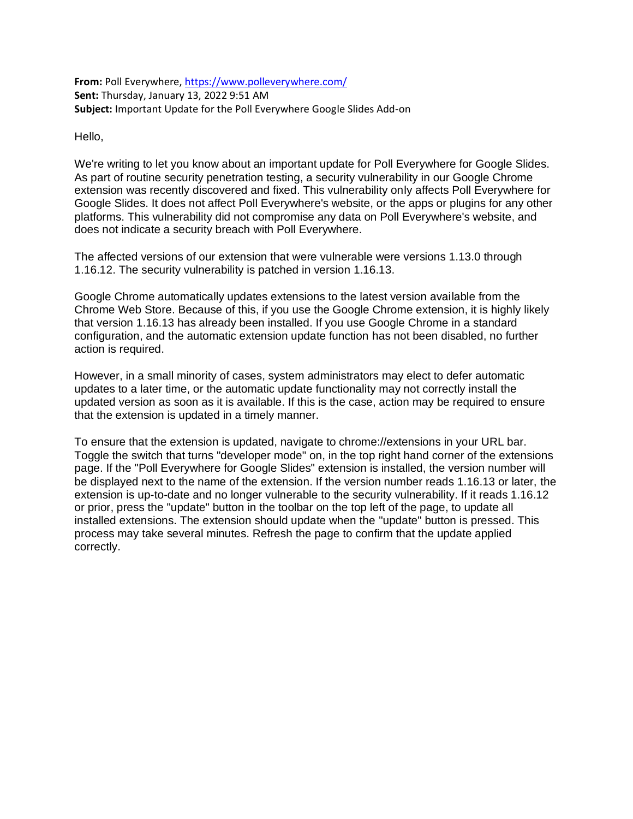**From:** Poll Everywhere[, https://www.polleverywhere.com/](https://www.polleverywhere.com/) **Sent:** Thursday, January 13, 2022 9:51 AM **Subject:** Important Update for the Poll Everywhere Google Slides Add-on

Hello,

We're writing to let you know about an important update for Poll Everywhere for Google Slides. As part of routine security penetration testing, a security vulnerability in our Google Chrome extension was recently discovered and fixed. This vulnerability only affects Poll Everywhere for Google Slides. It does not affect Poll Everywhere's website, or the apps or plugins for any other platforms. This vulnerability did not compromise any data on Poll Everywhere's website, and does not indicate a security breach with Poll Everywhere.

The affected versions of our extension that were vulnerable were versions 1.13.0 through 1.16.12. The security vulnerability is patched in version 1.16.13.

Google Chrome automatically updates extensions to the latest version available from the Chrome Web Store. Because of this, if you use the Google Chrome extension, it is highly likely that version 1.16.13 has already been installed. If you use Google Chrome in a standard configuration, and the automatic extension update function has not been disabled, no further action is required.

However, in a small minority of cases, system administrators may elect to defer automatic updates to a later time, or the automatic update functionality may not correctly install the updated version as soon as it is available. If this is the case, action may be required to ensure that the extension is updated in a timely manner.

To ensure that the extension is updated, navigate to chrome://extensions in your URL bar. Toggle the switch that turns "developer mode" on, in the top right hand corner of the extensions page. If the "Poll Everywhere for Google Slides" extension is installed, the version number will be displayed next to the name of the extension. If the version number reads 1.16.13 or later, the extension is up-to-date and no longer vulnerable to the security vulnerability. If it reads 1.16.12 or prior, press the "update" button in the toolbar on the top left of the page, to update all installed extensions. The extension should update when the "update" button is pressed. This process may take several minutes. Refresh the page to confirm that the update applied correctly.